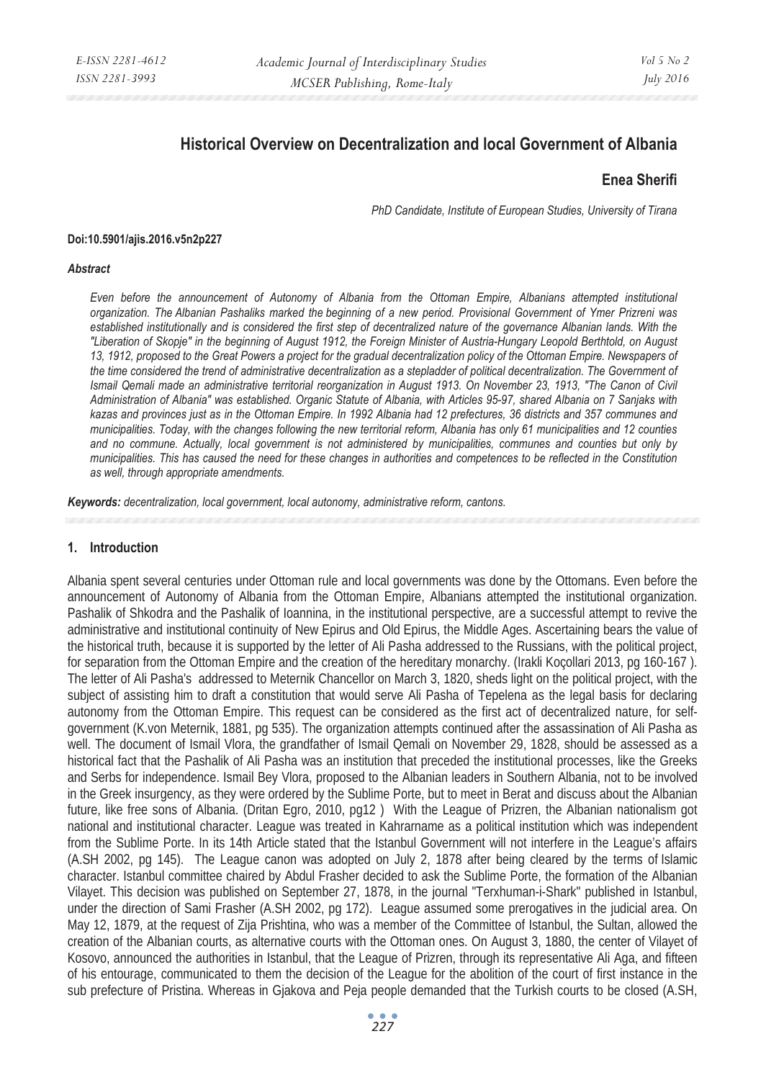# **Historical Overview on Decentralization and local Government of Albania**

#### **Enea Sherifi**

*PhD Candidate, Institute of European Studies, University of Tirana* 

#### **Doi:10.5901/ajis.2016.v5n2p227**

#### *Abstract*

*Even before the announcement of Autonomy of Albania from the Ottoman Empire, Albanians attempted institutional organization. The Albanian Pashaliks marked the beginning of a new period. Provisional Government of Ymer Prizreni was established institutionally and is considered the first step of decentralized nature of the governance Albanian lands. With the "Liberation of Skopje" in the beginning of August 1912, the Foreign Minister of Austria-Hungary Leopold Berthtold, on August 13, 1912, proposed to the Great Powers a project for the gradual decentralization policy of the Ottoman Empire. Newspapers of the time considered the trend of administrative decentralization as a stepladder of political decentralization. The Government of Ismail Qemali made an administrative territorial reorganization in August 1913. On November 23, 1913, "The Canon of Civil Administration of Albania" was established. Organic Statute of Albania, with Articles 95-97, shared Albania on 7 Sanjaks with kazas and provinces just as in the Ottoman Empire. In 1992 Albania had 12 prefectures, 36 districts and 357 communes and municipalities. Today, with the changes following the new territorial reform, Albania has only 61 municipalities and 12 counties and no commune. Actually, local government is not administered by municipalities, communes and counties but only by municipalities. This has caused the need for these changes in authorities and competences to be reflected in the Constitution as well, through appropriate amendments.* 

*Keywords: decentralization, local government, local autonomy, administrative reform, cantons.* 

#### **1. Introduction**

Albania spent several centuries under Ottoman rule and local governments was done by the Ottomans. Even before the announcement of Autonomy of Albania from the Ottoman Empire, Albanians attempted the institutional organization. Pashalik of Shkodra and the Pashalik of Ioannina, in the institutional perspective, are a successful attempt to revive the administrative and institutional continuity of New Epirus and Old Epirus, the Middle Ages. Ascertaining bears the value of the historical truth, because it is supported by the letter of Ali Pasha addressed to the Russians, with the political project, for separation from the Ottoman Empire and the creation of the hereditary monarchy. (Irakli Koçollari 2013, pg 160-167 ). The letter of Ali Pasha's addressed to Meternik Chancellor on March 3, 1820, sheds light on the political project, with the subject of assisting him to draft a constitution that would serve Ali Pasha of Tepelena as the legal basis for declaring autonomy from the Ottoman Empire. This request can be considered as the first act of decentralized nature, for selfgovernment (K.von Meternik, 1881, pg 535). The organization attempts continued after the assassination of Ali Pasha as well. The document of Ismail Vlora, the grandfather of Ismail Qemali on November 29, 1828, should be assessed as a historical fact that the Pashalik of Ali Pasha was an institution that preceded the institutional processes, like the Greeks and Serbs for independence. Ismail Bey Vlora, proposed to the Albanian leaders in Southern Albania, not to be involved in the Greek insurgency, as they were ordered by the Sublime Porte, but to meet in Berat and discuss about the Albanian future, like free sons of Albania. (Dritan Egro, 2010, pg12 ) With the League of Prizren, the Albanian nationalism got national and institutional character. League was treated in Kahrarname as a political institution which was independent from the Sublime Porte. In its 14th Article stated that the Istanbul Government will not interfere in the League's affairs (A.SH 2002, pg 145). The League canon was adopted on July 2, 1878 after being cleared by the terms of Islamic character. Istanbul committee chaired by Abdul Frasher decided to ask the Sublime Porte, the formation of the Albanian Vilayet. This decision was published on September 27, 1878, in the journal "Terxhuman-i-Shark" published in Istanbul, under the direction of Sami Frasher (A.SH 2002, pg 172). League assumed some prerogatives in the judicial area. On May 12, 1879, at the request of Zija Prishtina, who was a member of the Committee of Istanbul, the Sultan, allowed the creation of the Albanian courts, as alternative courts with the Ottoman ones. On August 3, 1880, the center of Vilayet of Kosovo, announced the authorities in Istanbul, that the League of Prizren, through its representative Ali Aga, and fifteen of his entourage, communicated to them the decision of the League for the abolition of the court of first instance in the sub prefecture of Pristina. Whereas in Gjakova and Peja people demanded that the Turkish courts to be closed (A.SH,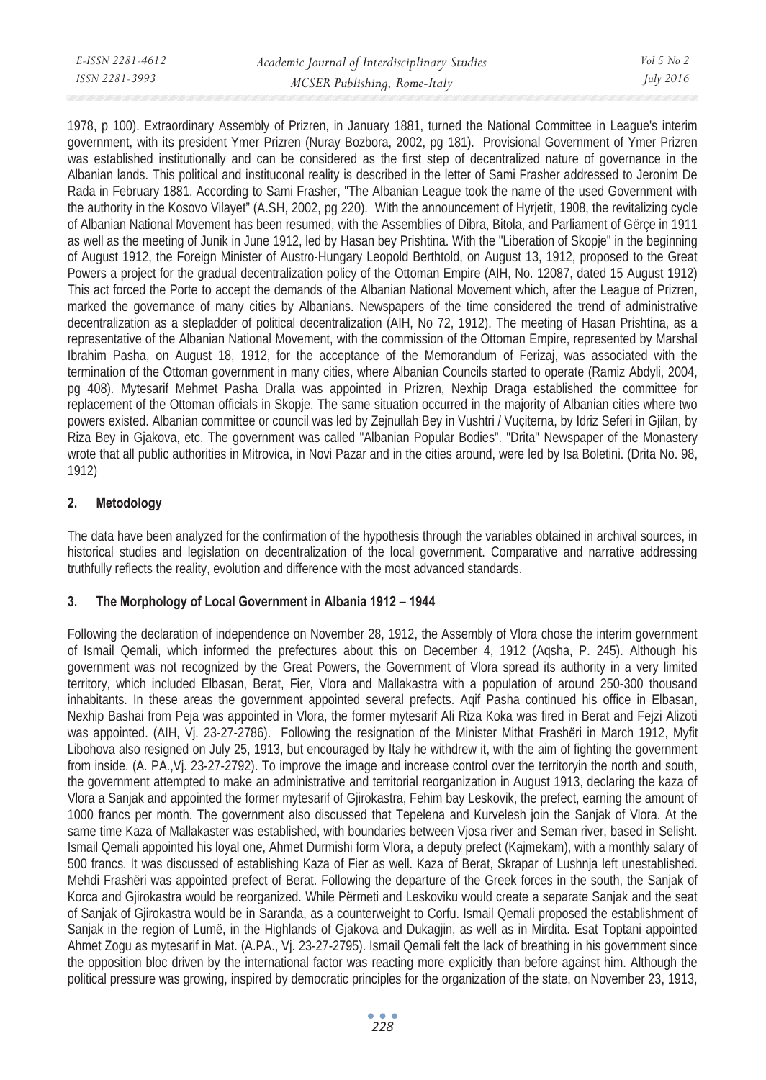| E-ISSN 2281-4612 | Academic Journal of Interdisciplinary Studies | $Vol_5$ No. 2    |
|------------------|-----------------------------------------------|------------------|
| ISSN 2281-3993   | MCSER Publishing, Rome-Italy                  | <i>July 2016</i> |
|                  |                                               |                  |

1978, p 100). Extraordinary Assembly of Prizren, in January 1881, turned the National Committee in League's interim government, with its president Ymer Prizren (Nuray Bozbora, 2002, pg 181). Provisional Government of Ymer Prizren was established institutionally and can be considered as the first step of decentralized nature of governance in the Albanian lands. This political and instituconal reality is described in the letter of Sami Frasher addressed to Jeronim De Rada in February 1881. According to Sami Frasher, "The Albanian League took the name of the used Government with the authority in the Kosovo Vilayet" (A.SH, 2002, pg 220). With the announcement of Hyrjetit, 1908, the revitalizing cycle of Albanian National Movement has been resumed, with the Assemblies of Dibra, Bitola, and Parliament of Gërçe in 1911 as well as the meeting of Junik in June 1912, led by Hasan bey Prishtina. With the "Liberation of Skopje" in the beginning of August 1912, the Foreign Minister of Austro-Hungary Leopold Berthtold, on August 13, 1912, proposed to the Great Powers a project for the gradual decentralization policy of the Ottoman Empire (AIH, No. 12087, dated 15 August 1912) This act forced the Porte to accept the demands of the Albanian National Movement which, after the League of Prizren, marked the governance of many cities by Albanians. Newspapers of the time considered the trend of administrative decentralization as a stepladder of political decentralization (AIH, No 72, 1912). The meeting of Hasan Prishtina, as a representative of the Albanian National Movement, with the commission of the Ottoman Empire, represented by Marshal Ibrahim Pasha, on August 18, 1912, for the acceptance of the Memorandum of Ferizaj, was associated with the termination of the Ottoman government in many cities, where Albanian Councils started to operate (Ramiz Abdyli, 2004, pg 408). Mytesarif Mehmet Pasha Dralla was appointed in Prizren, Nexhip Draga established the committee for replacement of the Ottoman officials in Skopje. The same situation occurred in the majority of Albanian cities where two powers existed. Albanian committee or council was led by Zejnullah Bey in Vushtri / Vuçiterna, by Idriz Seferi in Gjilan, by Riza Bey in Gjakova, etc. The government was called "Albanian Popular Bodies". "Drita" Newspaper of the Monastery wrote that all public authorities in Mitrovica, in Novi Pazar and in the cities around, were led by Isa Boletini. (Drita No. 98, 1912)

# **2. Metodology**

The data have been analyzed for the confirmation of the hypothesis through the variables obtained in archival sources, in historical studies and legislation on decentralization of the local government. Comparative and narrative addressing truthfully reflects the reality, evolution and difference with the most advanced standards.

# **3. The Morphology of Local Government in Albania 1912 – 1944**

Following the declaration of independence on November 28, 1912, the Assembly of Vlora chose the interim government of Ismail Qemali, which informed the prefectures about this on December 4, 1912 (Aqsha, P. 245). Although his government was not recognized by the Great Powers, the Government of Vlora spread its authority in a very limited territory, which included Elbasan, Berat, Fier, Vlora and Mallakastra with a population of around 250-300 thousand inhabitants. In these areas the government appointed several prefects. Aqif Pasha continued his office in Elbasan, Nexhip Bashai from Peja was appointed in Vlora, the former mytesarif Ali Riza Koka was fired in Berat and Fejzi Alizoti was appointed. (AIH, Vj. 23-27-2786). Following the resignation of the Minister Mithat Frashëri in March 1912, Myfit Libohova also resigned on July 25, 1913, but encouraged by Italy he withdrew it, with the aim of fighting the government from inside. (A. PA.,Vj. 23-27-2792). To improve the image and increase control over the territoryin the north and south, the government attempted to make an administrative and territorial reorganization in August 1913, declaring the kaza of Vlora a Sanjak and appointed the former mytesarif of Gjirokastra, Fehim bay Leskovik, the prefect, earning the amount of 1000 francs per month. The government also discussed that Tepelena and Kurvelesh join the Sanjak of Vlora. At the same time Kaza of Mallakaster was established, with boundaries between Vjosa river and Seman river, based in Selisht. Ismail Qemali appointed his loyal one, Ahmet Durmishi form Vlora, a deputy prefect (Kajmekam), with a monthly salary of 500 francs. It was discussed of establishing Kaza of Fier as well. Kaza of Berat, Skrapar of Lushnja left unestablished. Mehdi Frashëri was appointed prefect of Berat. Following the departure of the Greek forces in the south, the Sanjak of Korca and Gjirokastra would be reorganized. While Përmeti and Leskoviku would create a separate Sanjak and the seat of Sanjak of Gjirokastra would be in Saranda, as a counterweight to Corfu. Ismail Qemali proposed the establishment of Sanjak in the region of Lumë, in the Highlands of Gjakova and Dukagjin, as well as in Mirdita. Esat Toptani appointed Ahmet Zogu as mytesarif in Mat. (A.PA., Vj. 23-27-2795). Ismail Qemali felt the lack of breathing in his government since the opposition bloc driven by the international factor was reacting more explicitly than before against him. Although the political pressure was growing, inspired by democratic principles for the organization of the state, on November 23, 1913,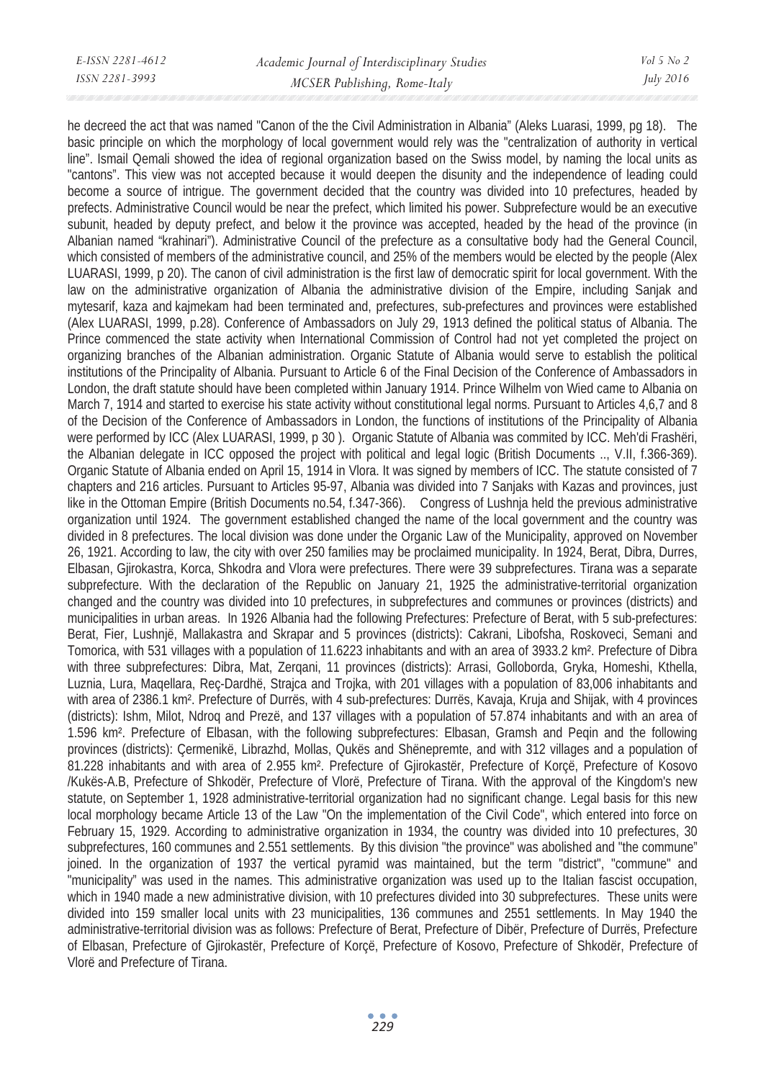he decreed the act that was named "Canon of the the Civil Administration in Albania" (Aleks Luarasi, 1999, pg 18). The basic principle on which the morphology of local government would rely was the "centralization of authority in vertical line". Ismail Qemali showed the idea of regional organization based on the Swiss model, by naming the local units as "cantons". This view was not accepted because it would deepen the disunity and the independence of leading could become a source of intrigue. The government decided that the country was divided into 10 prefectures, headed by prefects. Administrative Council would be near the prefect, which limited his power. Subprefecture would be an executive subunit, headed by deputy prefect, and below it the province was accepted, headed by the head of the province (in Albanian named "krahinari"). Administrative Council of the prefecture as a consultative body had the General Council, which consisted of members of the administrative council, and 25% of the members would be elected by the people (Alex LUARASI, 1999, p 20). The canon of civil administration is the first law of democratic spirit for local government. With the law on the administrative organization of Albania the administrative division of the Empire, including Sanjak and mytesarif, kaza and kajmekam had been terminated and, prefectures, sub-prefectures and provinces were established (Alex LUARASI, 1999, p.28). Conference of Ambassadors on July 29, 1913 defined the political status of Albania. The Prince commenced the state activity when International Commission of Control had not yet completed the project on organizing branches of the Albanian administration. Organic Statute of Albania would serve to establish the political institutions of the Principality of Albania. Pursuant to Article 6 of the Final Decision of the Conference of Ambassadors in London, the draft statute should have been completed within January 1914. Prince Wilhelm von Wied came to Albania on March 7, 1914 and started to exercise his state activity without constitutional legal norms. Pursuant to Articles 4,6,7 and 8 of the Decision of the Conference of Ambassadors in London, the functions of institutions of the Principality of Albania were performed by ICC (Alex LUARASI, 1999, p 30 ). Organic Statute of Albania was commited by ICC. Meh'di Frashëri, the Albanian delegate in ICC opposed the project with political and legal logic (British Documents .., V.II, f.366-369). Organic Statute of Albania ended on April 15, 1914 in Vlora. It was signed by members of ICC. The statute consisted of 7 chapters and 216 articles. Pursuant to Articles 95-97, Albania was divided into 7 Sanjaks with Kazas and provinces, just like in the Ottoman Empire (British Documents no.54, f.347-366). Congress of Lushnja held the previous administrative organization until 1924. The government established changed the name of the local government and the country was divided in 8 prefectures. The local division was done under the Organic Law of the Municipality, approved on November 26, 1921. According to law, the city with over 250 families may be proclaimed municipality. In 1924, Berat, Dibra, Durres, Elbasan, Gjirokastra, Korca, Shkodra and Vlora were prefectures. There were 39 subprefectures. Tirana was a separate subprefecture. With the declaration of the Republic on January 21, 1925 the administrative-territorial organization changed and the country was divided into 10 prefectures, in subprefectures and communes or provinces (districts) and municipalities in urban areas. In 1926 Albania had the following Prefectures: Prefecture of Berat, with 5 sub-prefectures: Berat, Fier, Lushnjë, Mallakastra and Skrapar and 5 provinces (districts): Cakrani, Libofsha, Roskoveci, Semani and Tomorica, with 531 villages with a population of 11.6223 inhabitants and with an area of 3933.2 km². Prefecture of Dibra with three subprefectures: Dibra, Mat, Zerqani, 11 provinces (districts): Arrasi, Golloborda, Gryka, Homeshi, Kthella, Luznia, Lura, Maqellara, Reç-Dardhë, Strajca and Trojka, with 201 villages with a population of 83,006 inhabitants and with area of 2386.1 km². Prefecture of Durrës, with 4 sub-prefectures: Durrës, Kavaja, Kruja and Shijak, with 4 provinces (districts): Ishm, Milot, Ndroq and Prezë, and 137 villages with a population of 57.874 inhabitants and with an area of 1.596 km². Prefecture of Elbasan, with the following subprefectures: Elbasan, Gramsh and Peqin and the following provinces (districts): Çermenikë, Librazhd, Mollas, Qukës and Shënepremte, and with 312 villages and a population of 81.228 inhabitants and with area of 2.955 km². Prefecture of Gjirokastër, Prefecture of Korçë, Prefecture of Kosovo /Kukës-A.B, Prefecture of Shkodër, Prefecture of Vlorë, Prefecture of Tirana. With the approval of the Kingdom's new statute, on September 1, 1928 administrative-territorial organization had no significant change. Legal basis for this new local morphology became Article 13 of the Law "On the implementation of the Civil Code", which entered into force on February 15, 1929. According to administrative organization in 1934, the country was divided into 10 prefectures, 30 subprefectures, 160 communes and 2.551 settlements. By this division "the province" was abolished and "the commune" joined. In the organization of 1937 the vertical pyramid was maintained, but the term "district", "commune" and "municipality" was used in the names. This administrative organization was used up to the Italian fascist occupation, which in 1940 made a new administrative division, with 10 prefectures divided into 30 subprefectures. These units were divided into 159 smaller local units with 23 municipalities, 136 communes and 2551 settlements. In May 1940 the administrative-territorial division was as follows: Prefecture of Berat, Prefecture of Dibër, Prefecture of Durrës, Prefecture of Elbasan, Prefecture of Gjirokastër, Prefecture of Korçë, Prefecture of Kosovo, Prefecture of Shkodër, Prefecture of Vlorë and Prefecture of Tirana.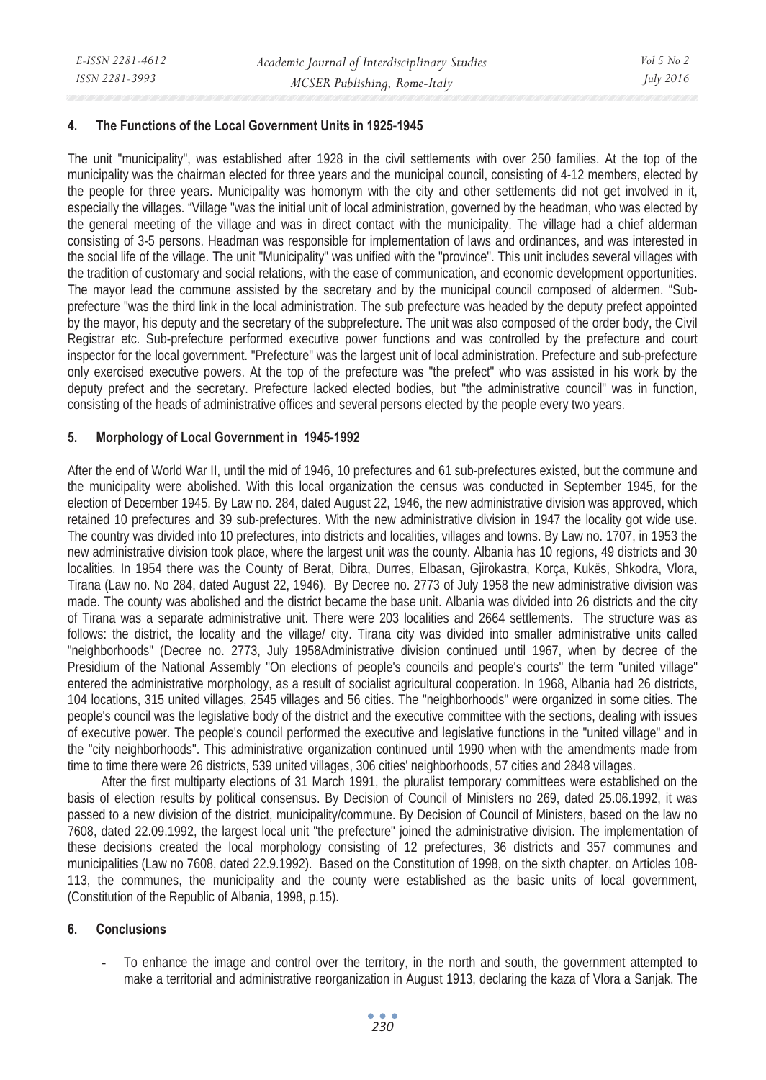#### **4. The Functions of the Local Government Units in 1925-1945**

The unit "municipality", was established after 1928 in the civil settlements with over 250 families. At the top of the municipality was the chairman elected for three years and the municipal council, consisting of 4-12 members, elected by the people for three years. Municipality was homonym with the city and other settlements did not get involved in it, especially the villages. "Village "was the initial unit of local administration, governed by the headman, who was elected by the general meeting of the village and was in direct contact with the municipality. The village had a chief alderman consisting of 3-5 persons. Headman was responsible for implementation of laws and ordinances, and was interested in the social life of the village. The unit "Municipality" was unified with the "province". This unit includes several villages with the tradition of customary and social relations, with the ease of communication, and economic development opportunities. The mayor lead the commune assisted by the secretary and by the municipal council composed of aldermen. "Subprefecture "was the third link in the local administration. The sub prefecture was headed by the deputy prefect appointed by the mayor, his deputy and the secretary of the subprefecture. The unit was also composed of the order body, the Civil Registrar etc. Sub-prefecture performed executive power functions and was controlled by the prefecture and court inspector for the local government. "Prefecture" was the largest unit of local administration. Prefecture and sub-prefecture only exercised executive powers. At the top of the prefecture was "the prefect" who was assisted in his work by the deputy prefect and the secretary. Prefecture lacked elected bodies, but "the administrative council" was in function, consisting of the heads of administrative offices and several persons elected by the people every two years.

#### **5. Morphology of Local Government in 1945-1992**

After the end of World War II, until the mid of 1946, 10 prefectures and 61 sub-prefectures existed, but the commune and the municipality were abolished. With this local organization the census was conducted in September 1945, for the election of December 1945. By Law no. 284, dated August 22, 1946, the new administrative division was approved, which retained 10 prefectures and 39 sub-prefectures. With the new administrative division in 1947 the locality got wide use. The country was divided into 10 prefectures, into districts and localities, villages and towns. By Law no. 1707, in 1953 the new administrative division took place, where the largest unit was the county. Albania has 10 regions, 49 districts and 30 localities. In 1954 there was the County of Berat, Dibra, Durres, Elbasan, Gjirokastra, Korça, Kukës, Shkodra, Vlora, Tirana (Law no. No 284, dated August 22, 1946). By Decree no. 2773 of July 1958 the new administrative division was made. The county was abolished and the district became the base unit. Albania was divided into 26 districts and the city of Tirana was a separate administrative unit. There were 203 localities and 2664 settlements. The structure was as follows: the district, the locality and the village/ city. Tirana city was divided into smaller administrative units called "neighborhoods" (Decree no. 2773, July 1958Administrative division continued until 1967, when by decree of the Presidium of the National Assembly "On elections of people's councils and people's courts" the term "united village" entered the administrative morphology, as a result of socialist agricultural cooperation. In 1968, Albania had 26 districts, 104 locations, 315 united villages, 2545 villages and 56 cities. The "neighborhoods" were organized in some cities. The people's council was the legislative body of the district and the executive committee with the sections, dealing with issues of executive power. The people's council performed the executive and legislative functions in the "united village" and in the "city neighborhoods". This administrative organization continued until 1990 when with the amendments made from time to time there were 26 districts, 539 united villages, 306 cities' neighborhoods, 57 cities and 2848 villages.

After the first multiparty elections of 31 March 1991, the pluralist temporary committees were established on the basis of election results by political consensus. By Decision of Council of Ministers no 269, dated 25.06.1992, it was passed to a new division of the district, municipality/commune. By Decision of Council of Ministers, based on the law no 7608, dated 22.09.1992, the largest local unit "the prefecture" joined the administrative division. The implementation of these decisions created the local morphology consisting of 12 prefectures, 36 districts and 357 communes and municipalities (Law no 7608, dated 22.9.1992). Based on the Constitution of 1998, on the sixth chapter, on Articles 108- 113, the communes, the municipality and the county were established as the basic units of local government, (Constitution of the Republic of Albania, 1998, p.15).

# **6. Conclusions**

To enhance the image and control over the territory, in the north and south, the government attempted to make a territorial and administrative reorganization in August 1913, declaring the kaza of Vlora a Sanjak. The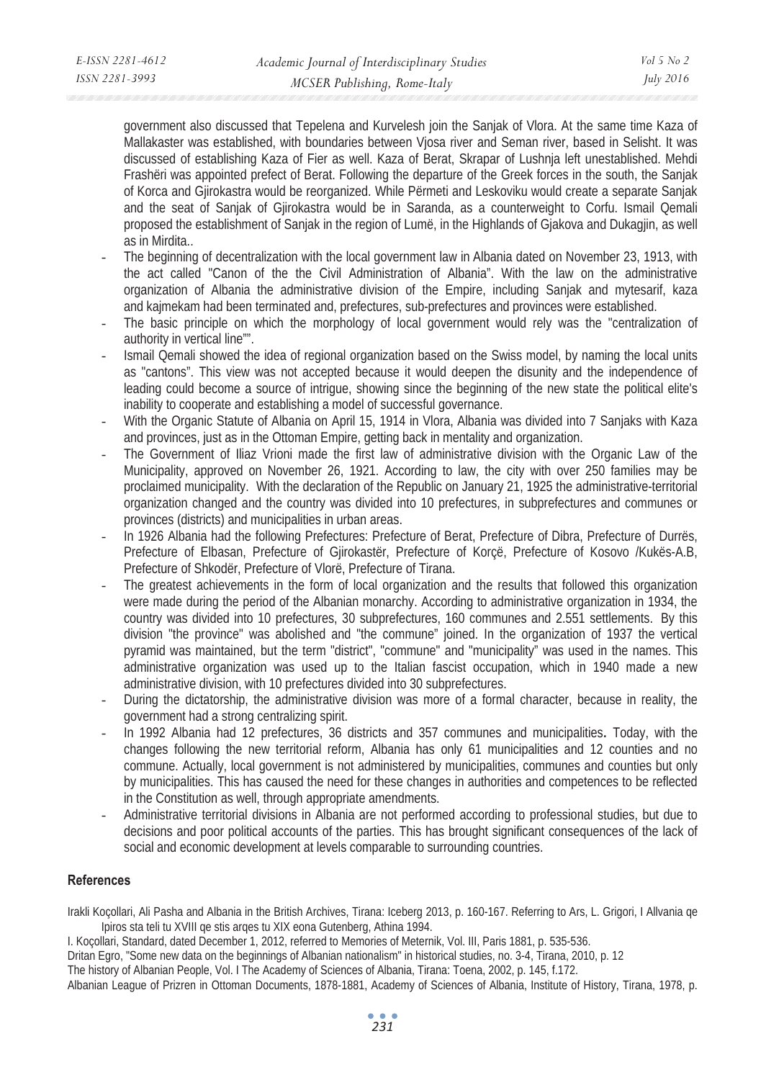government also discussed that Tepelena and Kurvelesh join the Sanjak of Vlora. At the same time Kaza of Mallakaster was established, with boundaries between Vjosa river and Seman river, based in Selisht. It was discussed of establishing Kaza of Fier as well. Kaza of Berat, Skrapar of Lushnja left unestablished. Mehdi Frashëri was appointed prefect of Berat. Following the departure of the Greek forces in the south, the Sanjak of Korca and Gjirokastra would be reorganized. While Përmeti and Leskoviku would create a separate Sanjak and the seat of Sanjak of Gjirokastra would be in Saranda, as a counterweight to Corfu. Ismail Qemali proposed the establishment of Sanjak in the region of Lumë, in the Highlands of Gjakova and Dukagjin, as well as in Mirdita..

- The beginning of decentralization with the local government law in Albania dated on November 23, 1913, with the act called "Canon of the the Civil Administration of Albania". With the law on the administrative organization of Albania the administrative division of the Empire, including Sanjak and mytesarif, kaza and kajmekam had been terminated and, prefectures, sub-prefectures and provinces were established.
- The basic principle on which the morphology of local government would rely was the "centralization of authority in vertical line"".
- Ismail Qemali showed the idea of regional organization based on the Swiss model, by naming the local units as "cantons". This view was not accepted because it would deepen the disunity and the independence of leading could become a source of intrigue, showing since the beginning of the new state the political elite's inability to cooperate and establishing a model of successful governance.
- With the Organic Statute of Albania on April 15, 1914 in Vlora, Albania was divided into 7 Sanjaks with Kaza and provinces, just as in the Ottoman Empire, getting back in mentality and organization.
- The Government of Iliaz Vrioni made the first law of administrative division with the Organic Law of the Municipality, approved on November 26, 1921. According to law, the city with over 250 families may be proclaimed municipality. With the declaration of the Republic on January 21, 1925 the administrative-territorial organization changed and the country was divided into 10 prefectures, in subprefectures and communes or provinces (districts) and municipalities in urban areas.
- In 1926 Albania had the following Prefectures: Prefecture of Berat, Prefecture of Dibra, Prefecture of Durrës, Prefecture of Elbasan, Prefecture of Gjirokastër, Prefecture of Korçë, Prefecture of Kosovo /Kukës-A.B, Prefecture of Shkodër, Prefecture of Vlorë, Prefecture of Tirana.
- The greatest achievements in the form of local organization and the results that followed this organization were made during the period of the Albanian monarchy. According to administrative organization in 1934, the country was divided into 10 prefectures, 30 subprefectures, 160 communes and 2.551 settlements. By this division "the province" was abolished and "the commune" joined. In the organization of 1937 the vertical pyramid was maintained, but the term "district", "commune" and "municipality" was used in the names. This administrative organization was used up to the Italian fascist occupation, which in 1940 made a new administrative division, with 10 prefectures divided into 30 subprefectures.
- During the dictatorship, the administrative division was more of a formal character, because in reality, the government had a strong centralizing spirit.
- In 1992 Albania had 12 prefectures, 36 districts and 357 communes and municipalities**.** Today, with the changes following the new territorial reform, Albania has only 61 municipalities and 12 counties and no commune. Actually, local government is not administered by municipalities, communes and counties but only by municipalities. This has caused the need for these changes in authorities and competences to be reflected in the Constitution as well, through appropriate amendments.
- Administrative territorial divisions in Albania are not performed according to professional studies, but due to decisions and poor political accounts of the parties. This has brought significant consequences of the lack of social and economic development at levels comparable to surrounding countries.

# **References**

Irakli Koçollari, Ali Pasha and Albania in the British Archives, Tirana: Iceberg 2013, p. 160-167. Referring to Ars, L. Grigori, I Allvania qe Ipiros sta teli tu XVIII qe stis arqes tu XIX eona Gutenberg, Athina 1994.

I. Koçollari, Standard, dated December 1, 2012, referred to Memories of Meternik, Vol. III, Paris 1881, p. 535-536.

Dritan Egro, "Some new data on the beginnings of Albanian nationalism" in historical studies, no. 3-4, Tirana, 2010, p. 12

The history of Albanian People, Vol. I The Academy of Sciences of Albania, Tirana: Toena, 2002, p. 145, f.172.

Albanian League of Prizren in Ottoman Documents, 1878-1881, Academy of Sciences of Albania, Institute of History, Tirana, 1978, p.